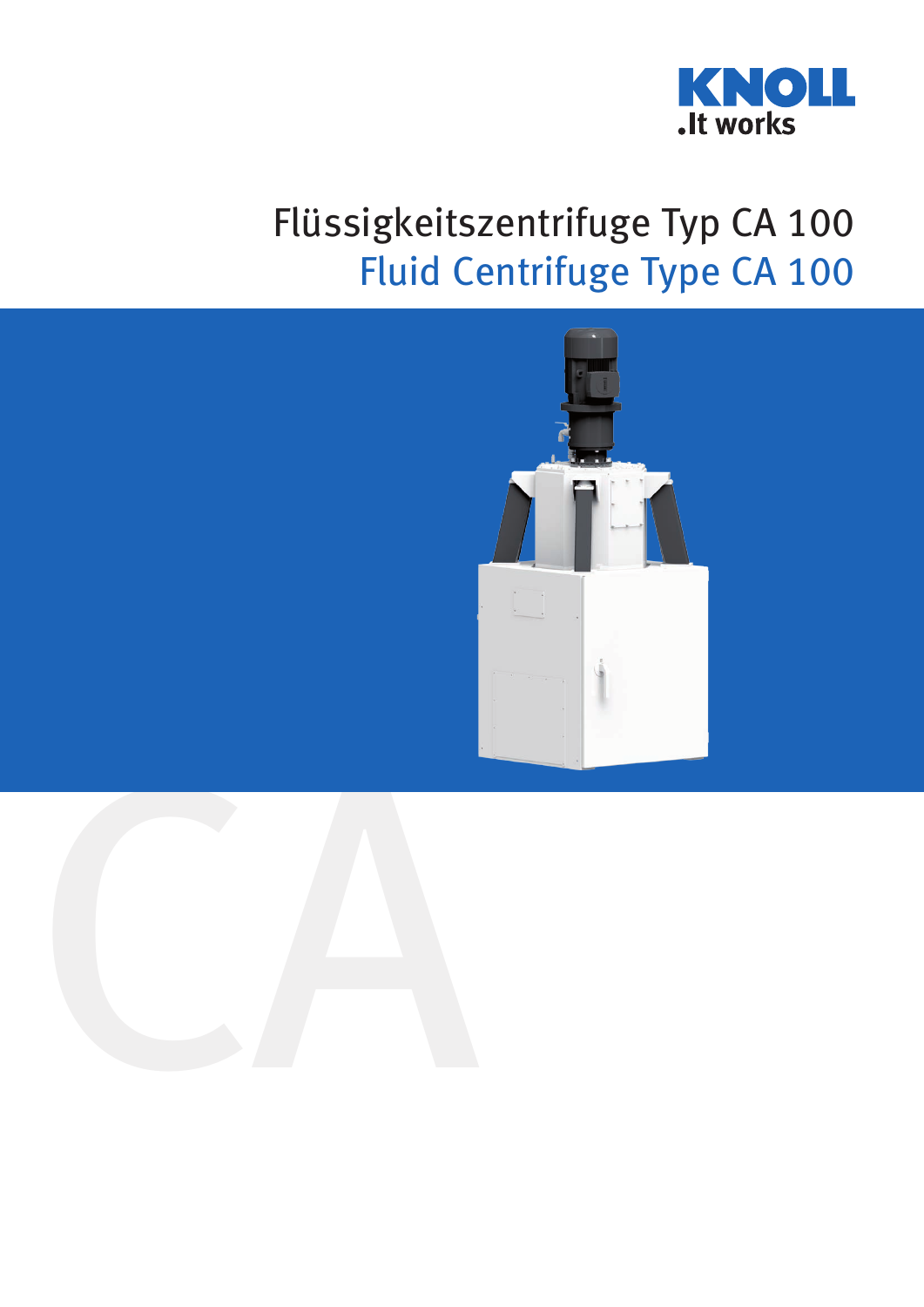

## Flüssigkeitszentrifuge Typ CA 100 Fluid Centrifuge Type CA 100

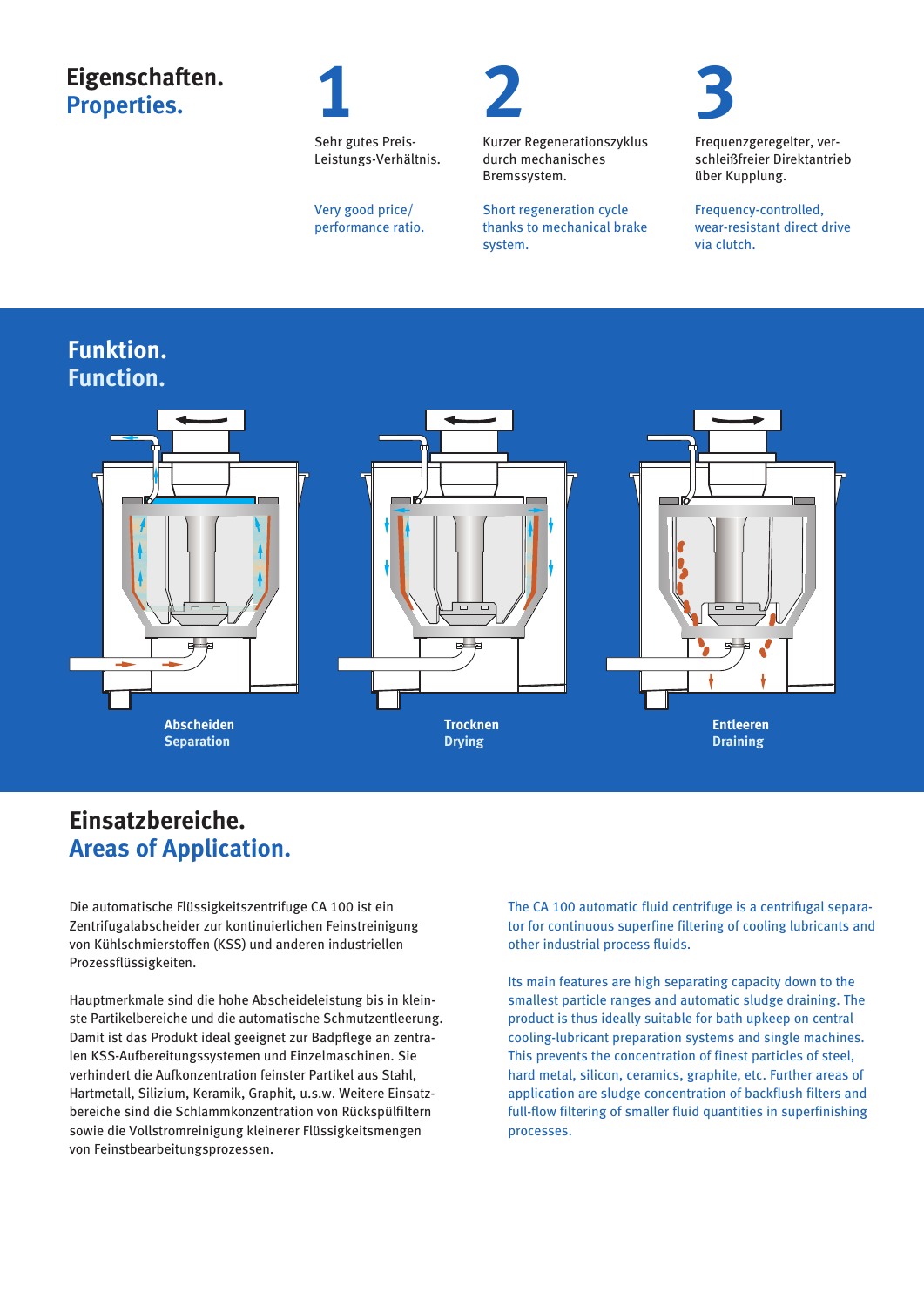## **Eigenschaften. Properties.**



Sehr gutes Preis-Leistungs-Verhältnis.

Very good price/ performance ratio.



Kurzer Regenerationszyklus durch mechanisches Bremssystem.

Short regeneration cycle thanks to mechanical brake system.

**3** Frequenzgeregelter, ver-

via clutch.

über Kupplung. Frequency-controlled, wear-resistant direct drive

schleißfreier Direktantrieb

## **Funktion. Function.**



### **Einsatzbereiche. Areas of Application.**

Die automatische Flüssigkeitszentrifuge CA 100 ist ein Zentrifugalabscheider zur kontinuierlichen Feinstreinigung von Kühlschmierstoffen (KSS) und anderen industriellen Prozessflüssigkeiten.

Hauptmerkmale sind die hohe Abscheideleistung bis in kleinste Partikelbereiche und die automatische Schmutzentleerung. Damit ist das Produkt ideal geeignet zur Badpflege an zentralen KSS-Aufbereitungssystemen und Einzelmaschinen. Sie verhindert die Aufkonzentration feinster Partikel aus Stahl, Hartmetall, Silizium, Keramik, Graphit, u.s.w. Weitere Einsatzbereiche sind die Schlammkonzentration von Rückspülfiltern sowie die Vollstromreinigung kleinerer Flüssigkeitsmengen von Feinstbearbeitungsprozessen.

The CA 100 automatic fluid centrifuge is a centrifugal separator for continuous superfine filtering of cooling lubricants and other industrial process fluids.

Its main features are high separating capacity down to the smallest particle ranges and automatic sludge draining. The product is thus ideally suitable for bath upkeep on central cooling-lubricant preparation systems and single machines. This prevents the concentration of finest particles of steel, hard metal, silicon, ceramics, graphite, etc. Further areas of application are sludge concentration of backflush filters and full-flow filtering of smaller fluid quantities in superfinishing processes.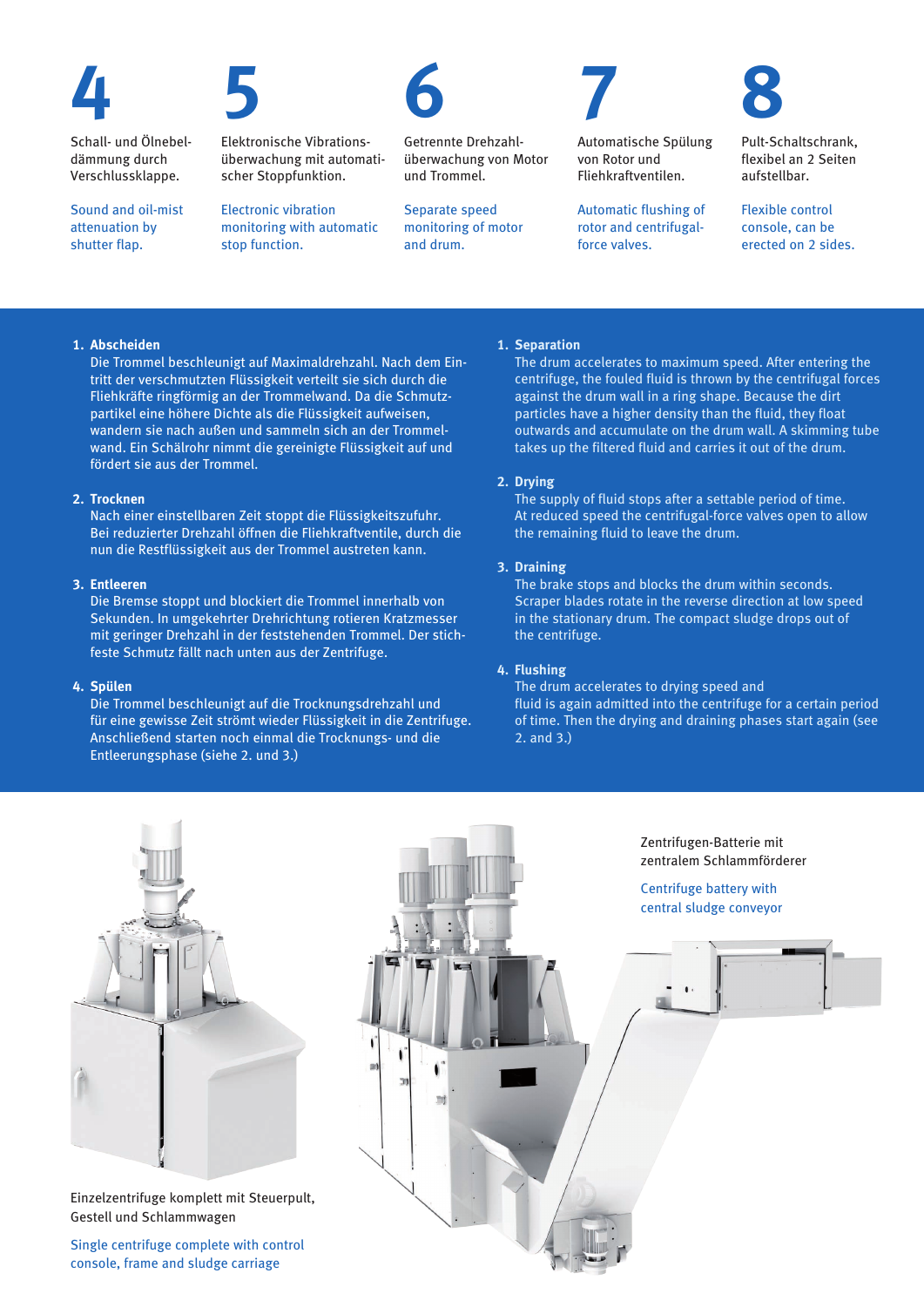

Schall- und Ölnebeldämmung durch Verschlussklappe.

Sound and oil-mist attenuation by shutter flap.



Elektronische Vibrationsüberwachung mit automatischer Stoppfunktion.

Electronic vibration monitoring with automatic stop function.



Getrennte Drehzahlüberwachung von Motor und Trommel.

Separate speed monitoring of motor and drum.

Automatische Spülung von Rotor und Fliehkraftventilen.

**7**

Automatic flushing of rotor and centrifugalforce valves.

Pult-Schaltschrank, flexibel an 2 Seiten aufstellbar.

**8**

Flexible control console, can be erected on 2 sides.

#### **1. Abscheiden**

Die Trommel beschleunigt auf Maximaldrehzahl. Nach dem Eintritt der verschmutzten Flüssigkeit verteilt sie sich durch die Fliehkräfte ringförmig an der Trommelwand. Da die Schmutzpartikel eine höhere Dichte als die Flüssigkeit aufweisen, wandern sie nach außen und sammeln sich an der Trommelwand. Ein Schälrohr nimmt die gereinigte Flüssigkeit auf und fördert sie aus der Trommel.

#### **2. Trocknen**

Nach einer einstellbaren Zeit stoppt die Flüssigkeitszufuhr. Bei reduzierter Drehzahl öffnen die Fliehkraftventile, durch die nun die Restflüssigkeit aus der Trommel austreten kann.

#### **3. Entleeren**

Die Bremse stoppt und blockiert die Trommel innerhalb von Sekunden. In umgekehrter Drehrichtung rotieren Kratzmesser mit geringer Drehzahl in der feststehenden Trommel. Der stichfeste Schmutz fällt nach unten aus der Zentrifuge.

#### **4. Spülen**

Die Trommel beschleunigt auf die Trocknungsdrehzahl und für eine gewisse Zeit strömt wieder Flüssigkeit in die Zentrifuge. Anschließend starten noch einmal die Trocknungs- und die Entleerungsphase (siehe 2. und 3.)

 $\overline{1}$ 

16

#### **1. Separation**

The drum accelerates to maximum speed. After entering the centrifuge, the fouled fluid is thrown by the centrifugal forces against the drum wall in a ring shape. Because the dirt particles have a higher density than the fluid, they float outwards and accumulate on the drum wall. A skimming tube takes up the filtered fluid and carries it out of the drum.

#### **2. Drying**

The supply of fluid stops after a settable period of time. At reduced speed the centrifugal-force valves open to allow the remaining fluid to leave the drum.

#### **3. Draining**

The brake stops and blocks the drum within seconds. Scraper blades rotate in the reverse direction at low speed in the stationary drum. The compact sludge drops out of the centrifuge.

#### **4. Flushing**

The drum accelerates to drying speed and fluid is again admitted into the centrifuge for a certain period of time. Then the drying and draining phases start again (see 2. and 3.)



Einzelzentrifuge komplett mit Steuerpult, Gestell und Schlammwagen

Single centrifuge complete with control console, frame and sludge carriage

Zentrifugen-Batterie mit zentralem Schlammförderer

Centrifuge battery with central sludge conveyor